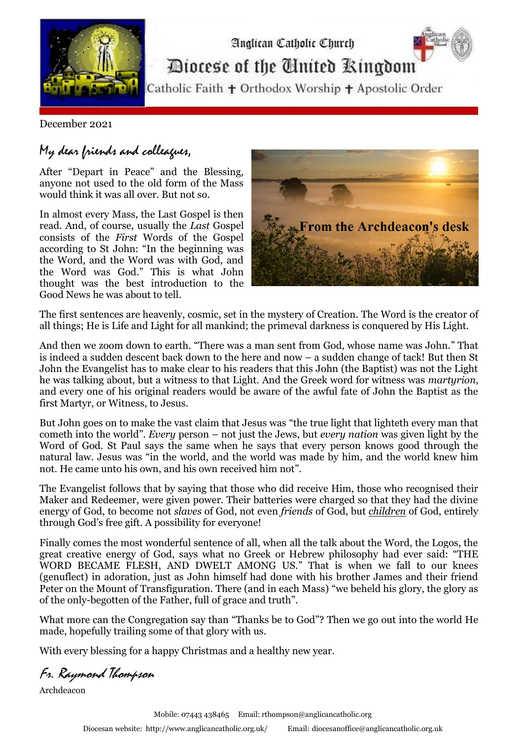

Diocese of the Cinited Ringdom

Analican Catholic Church

Catholic Faith + Orthodox Worship + Apostolic Order

December 2021

## My dear friends and colleagues,

After "Depart in Peace" and the Blessing, anyone not used to the old form of the Mass would think it was all over. But not so.

In almost every Mass, the Last Gospel is then read. And, of course, usually the *Last* Gospel consists of the *First* Words of the Gospel according to St John: "In the beginning was the Word, and the Word was with God, and the Word was God." This is what John thought was the best introduction to the Good News he was about to tell.



The first sentences are heavenly, cosmic, set in the mystery of Creation. The Word is the creator of all things; He is Life and Light for all mankind; the primeval darkness is conquered by His Light.

And then we zoom down to earth. "There was a man sent from God, whose name was John." That is indeed a sudden descent back down to the here and now – a sudden change of tack! But then St John the Evangelist has to make clear to his readers that this John (the Baptist) was not the Light he was talking about, but a witness to that Light. And the Greek word for witness was *martyrion*, and every one of his original readers would be aware of the awful fate of John the Baptist as the first Martyr, or Witness, to Jesus.

But John goes on to make the vast claim that Jesus was "the true light that lighteth every man that cometh into the world". *Every* person – not just the Jews, but *every nation* was given light by the Word of God. St Paul says the same when he says that every person knows good through the natural law. Jesus was "in the world, and the world was made by him, and the world knew him not. He came unto his own, and his own received him not".

The Evangelist follows that by saying that those who did receive Him, those who recognised their Maker and Redeemer, were given power. Their batteries were charged so that they had the divine energy of God, to become not *slaves* of God, not even *friends* of God, but *children* of God, entirely through God's free gift. A possibility for everyone!

Finally comes the most wonderful sentence of all, when all the talk about the Word, the Logos, the great creative energy of God, says what no Greek or Hebrew philosophy had ever said: "THE WORD BECAME FLESH, AND DWELT AMONG US." That is when we fall to our knees (genuflect) in adoration, just as John himself had done with his brother James and their friend Peter on the Mount of Transfiguration. There (and in each Mass) "we beheld his glory, the glory as of the only-begotten of the Father, full of grace and truth".

What more can the Congregation say than "Thanks be to God"? Then we go out into the world He made, hopefully trailing some of that glory with us.

With every blessing for a happy Christmas and a healthy new year.

Fr. Raymond Thompson

Archdeacon